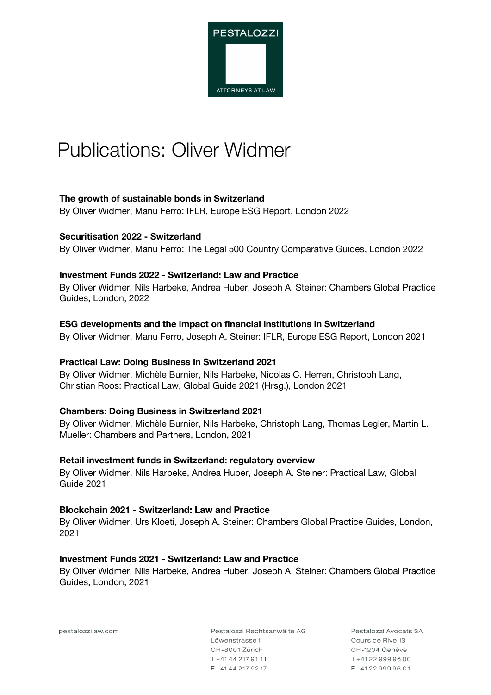

# Publications: Oliver Widmer

## **The growth of sustainable bonds in Switzerland**

By Oliver Widmer, Manu Ferro: IFLR, Europe ESG Report, London 2022

#### **Securitisation 2022 - Switzerland**

By Oliver Widmer, Manu Ferro: The Legal 500 Country Comparative Guides, London 2022

#### **Investment Funds 2022 - Switzerland: Law and Practice**

By Oliver Widmer, Nils Harbeke, Andrea Huber, Joseph A. Steiner: Chambers Global Practice Guides, London, 2022

#### **ESG developments and the impact on financial institutions in Switzerland**

By Oliver Widmer, Manu Ferro, Joseph A. Steiner: IFLR, Europe ESG Report, London 2021

#### **Practical Law: Doing Business in Switzerland 2021**

By Oliver Widmer, Michèle Burnier, Nils Harbeke, Nicolas C. Herren, Christoph Lang, Christian Roos: Practical Law, Global Guide 2021 (Hrsg.), London 2021

#### **Chambers: Doing Business in Switzerland 2021**

By Oliver Widmer, Michèle Burnier, Nils Harbeke, Christoph Lang, Thomas Legler, Martin L. Mueller: Chambers and Partners, London, 2021

#### **Retail investment funds in Switzerland: regulatory overview**

By Oliver Widmer, Nils Harbeke, Andrea Huber, Joseph A. Steiner: Practical Law, Global Guide 2021

#### **Blockchain 2021 - Switzerland: Law and Practice**

By Oliver Widmer, Urs Kloeti, Joseph A. Steiner: Chambers Global Practice Guides, London, 2021

#### **Investment Funds 2021 - Switzerland: Law and Practice**

By Oliver Widmer, Nils Harbeke, Andrea Huber, Joseph A. Steiner: Chambers Global Practice Guides, London, 2021

pestalozzilaw.com

Pestalozzi Rechtsanwälte AG Löwenstrasse 1 CH-8001 Zürich T+4144 217 91 11  $F + 41442179217$ 

Pestalozzi Avocats SA Cours de Bive 13 CH-1204 Genève  $T + 41229999600$ F+41229999601